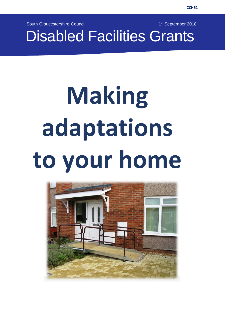South Gloucestershire Council

1<sup>st</sup> September 2018

Disabled Facilities Grants

# **Making adaptations to your home**

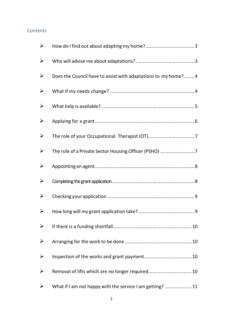#### **Contents**

| $\blacktriangleright$ |                                                                |
|-----------------------|----------------------------------------------------------------|
| $\blacktriangleright$ |                                                                |
| ➤                     | Does the Council have to assist with adaptations to my home? 4 |
| ➤                     |                                                                |
| ➤                     |                                                                |
| ➤                     |                                                                |
| ➤                     |                                                                |
| ➤                     | The role of a Private Sector Housing Officer (PSHO) 7          |
| ➤                     |                                                                |
| ➤                     |                                                                |
| ➤                     |                                                                |
| ➤                     | . 9                                                            |
| ➤                     |                                                                |
| ➤                     |                                                                |
| ➤                     |                                                                |
|                       | Removal of lifts which are no longer required 10               |
|                       | What if I am not happy with the service I am getting?  11      |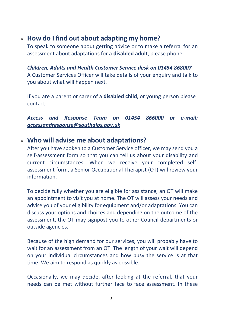# <span id="page-2-0"></span>➢ **How do I find out about adapting my home?**

To speak to someone about getting advice or to make a referral for an assessment about adaptations for a **disabled adult**, please phone:

*Children, Adults and Health Customer Service desk on 01454 868007* A Customer Services Officer will take details of your enquiry and talk to you about what will happen next.

If you are a parent or carer of a **disabled child**, or young person please contact:

*Access and Response Team on 01454 866000 or e-mail: [accessandresponse@southglos.gov.uk](mailto:accessandresponse@southglos.gov.uk)*

## <span id="page-2-1"></span>➢ **Who will advise me about adaptations?**

After you have spoken to a Customer Service officer, we may send you a self-assessment form so that you can tell us about your disability and current circumstances. When we receive your completed selfassessment form, a Senior Occupational Therapist (OT) will review your information.

To decide fully whether you are eligible for assistance, an OT will make an appointment to visit you at home. The OT will assess your needs and advise you of your eligibility for equipment and/or adaptations. You can discuss your options and choices and depending on the outcome of the assessment, the OT may signpost you to other Council departments or outside agencies.

Because of the high demand for our services, you will probably have to wait for an assessment from an OT. The length of your wait will depend on your individual circumstances and how busy the service is at that time. We aim to respond as quickly as possible.

Occasionally, we may decide, after looking at the referral, that your needs can be met without further face to face assessment. In these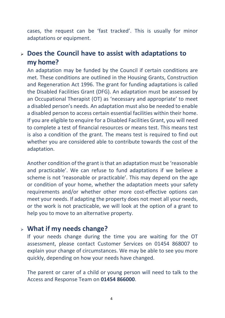cases, the request can be 'fast tracked'. This is usually for minor adaptations or equipment.

# <span id="page-3-0"></span>➢ **Does the Council have to assist with adaptations to my home?**

An adaptation may be funded by the Council if certain conditions are met. These conditions are outlined in the Housing Grants, Construction and Regeneration Act 1996. The grant for funding adaptations is called the Disabled Facilities Grant (DFG). An adaptation must be assessed by an Occupational Therapist (OT) as 'necessary and appropriate' to meet a disabled person's needs. An adaptation must also be needed to enable a disabled person to access certain essential facilities within their home. If you are eligible to enquire for a Disabled Facilities Grant, you will need to complete a test of financial resources or means test. This means test is also a condition of the grant. The means test is required to find out whether you are considered able to contribute towards the cost of the adaptation.

Another condition of the grant is that an adaptation must be 'reasonable and practicable'. We can refuse to fund adaptations if we believe a scheme is not 'reasonable or practicable'. This may depend on the age or condition of your home, whether the adaptation meets your safety requirements and/or whether other more cost-effective options can meet your needs. If adapting the property does not meet all your needs, or the work is not practicable, we will look at the option of a grant to help you to move to an alternative property.

# <span id="page-3-1"></span>➢ **What if my needs change?**

If your needs change during the time you are waiting for the OT assessment, please contact Customer Services on 01454 868007 to explain your change of circumstances. We may be able to see you more quickly, depending on how your needs have changed.

The parent or carer of a child or young person will need to talk to the Access and Response Team on **01454 866000**.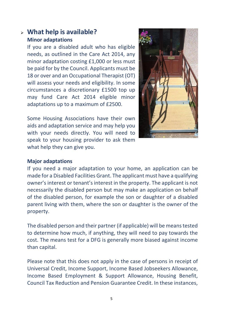# <span id="page-4-0"></span>➢ **What help is available? Minor adaptations**

If you are a disabled adult who has eligible needs, as outlined in the Care Act 2014, any minor adaptation costing £1,000 or less must be paid for by the Council. Applicants must be 18 or over and an Occupational Therapist (OT) will assess your needs and eligibility. In some circumstances a discretionary £1500 top up may fund Care Act 2014 eligible minor adaptations up to a maximum of £2500.

Some Housing Associations have their own aids and adaptation service and may help you with your needs directly. You will need to speak to your housing provider to ask them what help they can give you.



### **Major adaptations**

If you need a major adaptation to your home, an application can be made for a Disabled Facilities Grant. The applicant must have a qualifying owner's interest or tenant'sinterest in the property. The applicant is not necessarily the disabled person but may make an application on behalf of the disabled person, for example the son or daughter of a disabled parent living with them, where the son or daughter is the owner of the property.

The disabled person and their partner (if applicable) will be meanstested to determine how much, if anything, they will need to pay towards the cost. The means test for a DFG is generally more biased against income than capital.

Please note that this does not apply in the case of persons in receipt of Universal Credit, Income Support, Income Based Jobseekers Allowance, Income Based Employment & Support Allowance, Housing Benefit, Council Tax Reduction and Pension Guarantee Credit. In these instances,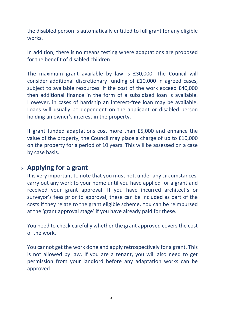the disabled person is automatically entitled to full grant for any eligible works.

In addition, there is no means testing where adaptations are proposed for the benefit of disabled children.

The maximum grant available by law is £30,000. The Council will consider additional discretionary funding of £10,000 in agreed cases, subject to available resources. If the cost of the work exceed £40,000 then additional finance in the form of a subsidised loan is available. However, in cases of hardship an interest-free loan may be available. Loans will usually be dependent on the applicant or disabled person holding an owner's interest in the property.

If grant funded adaptations cost more than £5,000 and enhance the value of the property, the Council may place a charge of up to £10,000 on the property for a period of 10 years. This will be assessed on a case by case basis.

# <span id="page-5-0"></span>➢ **Applying for a grant**

It is very important to note that you must not, under any circumstances, carry out any work to your home until you have applied for a grant and received your grant approval. If you have incurred architect's or surveyor's fees prior to approval, these can be included as part of the costs if they relate to the grant eligible scheme. You can be reimbursed at the 'grant approval stage' if you have already paid for these.

You need to check carefully whether the grant approved covers the cost of the work.

You cannot get the work done and apply retrospectively for a grant. This is not allowed by law. If you are a tenant, you will also need to get permission from your landlord before any adaptation works can be approved.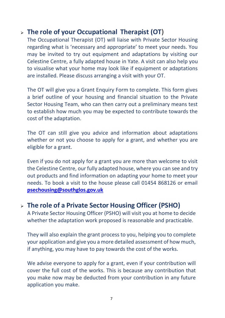# <span id="page-6-0"></span>➢ **The role of your Occupational Therapist (OT**)

The Occupational Therapist (OT) will liaise with Private Sector Housing regarding what is 'necessary and appropriate' to meet your needs. You may be invited to try out equipment and adaptations by visiting our Celestine Centre, a fully adapted house in Yate. A visit can also help you to visualise what your home may look like if equipment or adaptations are installed. Please discuss arranging a visit with your OT.

The OT will give you a Grant Enquiry Form to complete. This form gives a brief outline of your housing and financial situation to the Private Sector Housing Team, who can then carry out a preliminary means test to establish how much you may be expected to contribute towards the cost of the adaptation.

The OT can still give you advice and information about adaptations whether or not you choose to apply for a grant, and whether you are eligible for a grant.

Even if you do not apply for a grant you are more than welcome to visit the Celestine Centre, our fully adapted house, where you can see and try out products and find information on adapting your home to meet your needs. To book a visit to the house please call 01454 868126 or email **[psechousing@southglos.gov.uk](mailto:psechousing@southglos.gov.uk)**

# <span id="page-6-1"></span>➢ **The role of a Private Sector Housing Officer (PSHO)**

A Private Sector Housing Officer (PSHO) will visit you at home to decide whether the adaptation work proposed is reasonable and practicable.

They will also explain the grant process to you, helping you to complete your application and give you a more detailed assessment of how much, if anything, you may have to pay towards the cost of the works.

We advise everyone to apply for a grant, even if your contribution will cover the full cost of the works. This is because any contribution that you make now may be deducted from your contribution in any future application you make.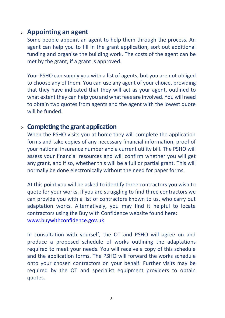# <span id="page-7-0"></span>➢ **Appointing an agent**

Some people appoint an agent to help them through the process. An agent can help you to fill in the grant application, sort out additional funding and organise the building work. The costs of the agent can be met by the grant, if a grant is approved.

Your PSHO can supply you with a list of agents, but you are not obliged to choose any of them. You can use any agent of your choice, providing that they have indicated that they will act as your agent, outlined to what extent they can help you and what fees are involved. You will need to obtain two quotes from agents and the agent with the lowest quote will be funded.

## <span id="page-7-1"></span>➢ **Completing thegrant application**

When the PSHO visits you at home they will complete the application forms and take copies of any necessary financial information, proof of your national insurance number and a current utility bill. The PSHO will assess your financial resources and will confirm whether you will get any grant, and if so, whether this will be a full or partial grant. This will normally be done electronically without the need for paper forms.

At this point you will be asked to identify three contractors you wish to quote for your works. If you are struggling to find three contractors we can provide you with a list of contractors known to us, who carry out adaptation works. Alternatively, you may find it helpful to locate contractors using the Buy with Confidence website found here: [www.buywithconfidence.gov.uk](http://www.buywithconfidence.gov.uk/)

In consultation with yourself, the OT and PSHO will agree on and produce a proposed schedule of works outlining the adaptations required to meet your needs. You will receive a copy of this schedule and the application forms. The PSHO will forward the works schedule onto your chosen contractors on your behalf. Further visits may be required by the OT and specialist equipment providers to obtain quotes.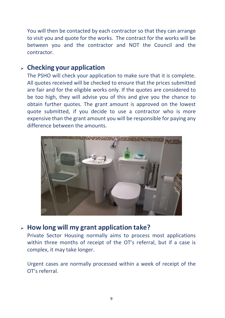You will then be contacted by each contractor so that they can arrange to visit you and quote for the works. The contract for the works will be between you and the contractor and NOT the Council and the contractor.

# <span id="page-8-0"></span>➢ **Checking your application**

The PSHO will check your application to make sure that it is complete. All quotes received will be checked to ensure that the prices submitted are fair and for the eligible works only. If the quotes are considered to be too high, they will advise you of this and give you the chance to obtain further quotes. The grant amount is approved on the lowest quote submitted, if you decide to use a contractor who is more expensive than the grant amount you will be responsible for paying any difference between the amounts.



# <span id="page-8-1"></span>➢ **How long will my grant application take?**

Private Sector Housing normally aims to process most applications within three months of receipt of the OT's referral, but if a case is complex, it may take longer.

Urgent cases are normally processed within a week of receipt of the OT's referral.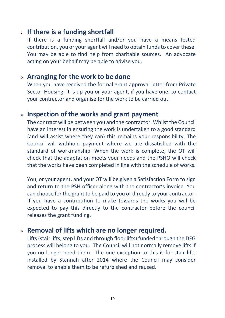# <span id="page-9-0"></span>➢ **If there is a funding shortfall**

If there is a funding shortfall and/or you have a means tested contribution, you or your agent will need to obtain funds to cover these. You may be able to find help from charitable sources. An advocate acting on your behalf may be able to advise you.

# <span id="page-9-1"></span>➢ **Arranging for the work to be done**

When you have received the formal grant approval letter from Private Sector Housing, it is up you or your agent, if you have one, to contact your contractor and organise for the work to be carried out.

# <span id="page-9-2"></span>➢ **Inspection of the works and grant payment**

The contract will be between you and the contractor. Whilst the Council have an interest in ensuring the work is undertaken to a good standard (and will assist where they can) this remains your responsibility. The Council will withhold payment where we are dissatisfied with the standard of workmanship. When the work is complete, the OT will check that the adaptation meets your needs and the PSHO will check that the works have been completed in line with the schedule of works.

You, or your agent, and your OT will be given a Satisfaction Form to sign and return to the PSH officer along with the contractor's invoice. You can choose for the grant to be paid to you or directly to your contractor. If you have a contribution to make towards the works you will be expected to pay this directly to the contractor before the council releases the grant funding.

# <span id="page-9-3"></span>➢ **Removal of lifts which are no longer required.**

Lifts (stair lifts, step lifts and through floor lifts) funded through the DFG process will belong to you. The Council will not normally remove lifts if you no longer need them. The one exception to this is for stair lifts installed by Stannah after 2014 where the Council may consider removal to enable them to be refurbished and reused.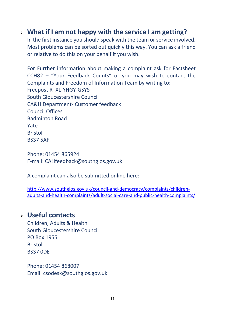# <span id="page-10-0"></span>➢ **What if I am not happy with the service I am getting?**

In the first instance you should speak with the team or service involved. Most problems can be sorted out quickly this way. You can ask a friend or relative to do this on your behalf if you wish.

For Further information about making a complaint ask for Factsheet CCH82 – "Your Feedback Counts" or you may wish to contact the Complaints and Freedom of Information Team by writing to: Freepost RTXL-YHGY-GSYS South Gloucestershire Council CA&H Department- Customer feedback Council Offices Badminton Road Yate Bristol BS37 5AF

Phone: 01454 865924 E-mail: [CAHfeedback@southglos.gov.uk](mailto:CAHfeedback@southglos.gov.uk)

A complaint can also be submitted online here: -

[http://www.southglos.gov.uk/council-and-democracy/complaints/children](http://www.southglos.gov.uk/council-and-democracy/complaints/children-adults-and-health-complaints/adult-social-care-and-public-health-complaints/)[adults-and-health-complaints/adult-social-care-and-public-health-complaints/](http://www.southglos.gov.uk/council-and-democracy/complaints/children-adults-and-health-complaints/adult-social-care-and-public-health-complaints/)

# ➢ **Useful contacts**

Children, Adults & Health South Gloucestershire Council PO Box 1955 Bristol BS37 0DE

Phone: 01454 868007 Email: [csodesk@southglos.gov.uk](mailto:csodesk@southglos.gov.uk)